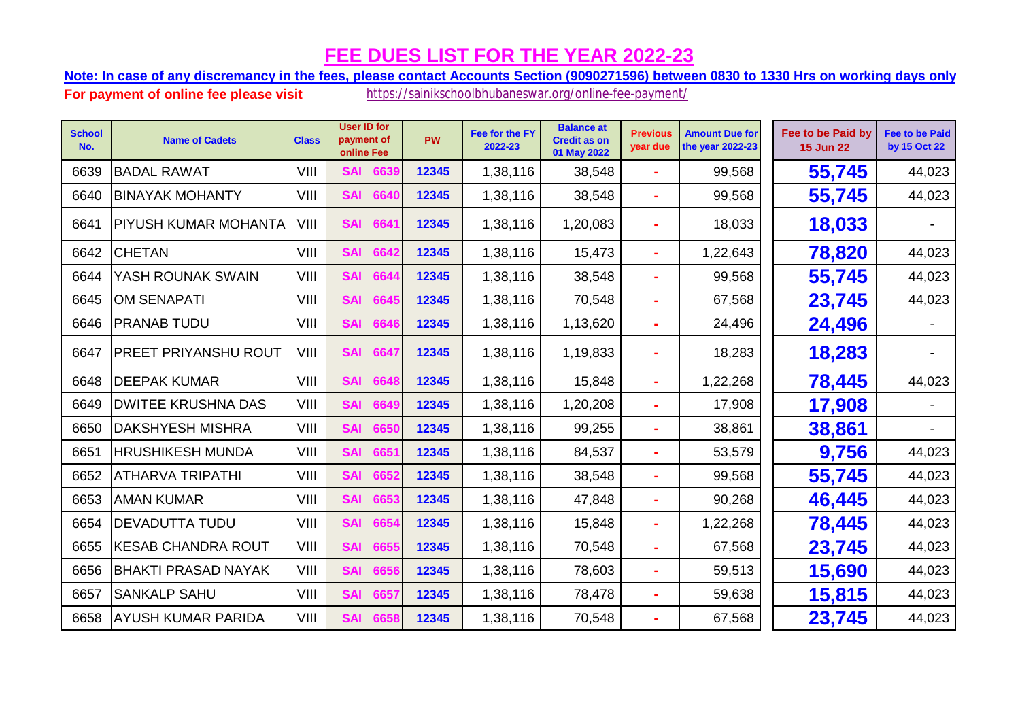**Note: In case of any discremancy in the fees, please contact Accounts Section (9090271596) between 0830 to 1330 Hrs on working days only.**

| <b>School</b><br>No. | <b>Name of Cadets</b>       | <b>Class</b> | <b>User ID for</b><br>payment of<br>online Fee | <b>PW</b> | Fee for the FY<br>2022-23 | <b>Balance at</b><br><b>Credit as on</b><br>01 May 2022 | <b>Previous</b><br>year due | <b>Amount Due for</b><br>the year 2022-23 | Fee to be Paid by<br><b>15 Jun 22</b> | <b>Fee to be Paid</b><br>by 15 Oct 22 |
|----------------------|-----------------------------|--------------|------------------------------------------------|-----------|---------------------------|---------------------------------------------------------|-----------------------------|-------------------------------------------|---------------------------------------|---------------------------------------|
| 6639                 | <b>BADAL RAWAT</b>          | VIII         | 6639<br><b>SAI</b>                             | 12345     | 1,38,116                  | 38,548                                                  |                             | 99,568                                    | 55,745                                | 44,023                                |
| 6640                 | <b>BINAYAK MOHANTY</b>      | VIII         | <b>SAI</b><br>6640                             | 12345     | 1,38,116                  | 38,548                                                  |                             | 99,568                                    | 55,745                                | 44,023                                |
| 6641                 | <b>PIYUSH KUMAR MOHANTA</b> | VIII         | <b>SAI</b><br>6641                             | 12345     | 1,38,116                  | 1,20,083                                                |                             | 18,033                                    | 18,033                                |                                       |
| 6642                 | <b>CHETAN</b>               | VIII         | <b>SAI</b><br>6642                             | 12345     | 1,38,116                  | 15,473                                                  |                             | 1,22,643                                  | 78,820                                | 44,023                                |
| 6644                 | YASH ROUNAK SWAIN           | VIII         | 6644<br><b>SAI</b>                             | 12345     | 1,38,116                  | 38,548                                                  |                             | 99,568                                    | 55,745                                | 44,023                                |
| 6645                 | <b>OM SENAPATI</b>          | VIII         | <b>SAI</b><br>6645                             | 12345     | 1,38,116                  | 70,548                                                  |                             | 67,568                                    | 23,745                                | 44,023                                |
| 6646                 | <b>PRANAB TUDU</b>          | VIII         | 6646<br><b>SAI</b>                             | 12345     | 1,38,116                  | 1,13,620                                                | ÷.                          | 24,496                                    | 24,496                                |                                       |
| 6647                 | <b>PREET PRIYANSHU ROUT</b> | VIII         | <b>SAI</b><br>6647                             | 12345     | 1,38,116                  | 1,19,833                                                |                             | 18,283                                    | 18,283                                |                                       |
| 6648                 | <b>DEEPAK KUMAR</b>         | VIII         | <b>SAI</b><br>6648                             | 12345     | 1,38,116                  | 15,848                                                  | ÷                           | 1,22,268                                  | 78,445                                | 44,023                                |
| 6649                 | <b>DWITEE KRUSHNA DAS</b>   | VIII         | <b>SAI</b><br>6649                             | 12345     | 1,38,116                  | 1,20,208                                                | ÷                           | 17,908                                    | 17,908                                |                                       |
| 6650                 | <b>DAKSHYESH MISHRA</b>     | VIII         | <b>SAI</b><br>6650                             | 12345     | 1,38,116                  | 99,255                                                  |                             | 38,861                                    | 38,861                                |                                       |
| 6651                 | <b>HRUSHIKESH MUNDA</b>     | VIII         | <b>SAI</b><br>6651                             | 12345     | 1,38,116                  | 84,537                                                  |                             | 53,579                                    | 9,756                                 | 44,023                                |
| 6652                 | <b>ATHARVA TRIPATHI</b>     | VIII         | <b>SAI</b><br>6652                             | 12345     | 1,38,116                  | 38,548                                                  |                             | 99,568                                    | 55,745                                | 44,023                                |
| 6653                 | <b>AMAN KUMAR</b>           | VIII         | <b>SAI</b><br>6653                             | 12345     | 1,38,116                  | 47,848                                                  | ÷                           | 90,268                                    | 46,445                                | 44,023                                |
| 6654                 | <b>DEVADUTTA TUDU</b>       | VIII         | 6654<br><b>SAI</b>                             | 12345     | 1,38,116                  | 15,848                                                  |                             | 1,22,268                                  | 78,445                                | 44,023                                |
| 6655                 | <b>KESAB CHANDRA ROUT</b>   | VIII         | <b>SAI</b><br>6655                             | 12345     | 1,38,116                  | 70,548                                                  | ÷                           | 67,568                                    | 23,745                                | 44,023                                |
| 6656                 | <b>BHAKTI PRASAD NAYAK</b>  | VIII         | 6656<br><b>SAI</b>                             | 12345     | 1,38,116                  | 78,603                                                  |                             | 59,513                                    | 15,690                                | 44,023                                |
| 6657                 | <b>SANKALP SAHU</b>         | VIII         | <b>SAI</b><br>6657                             | 12345     | 1,38,116                  | 78,478                                                  | ÷                           | 59,638                                    | 15,815                                | 44,023                                |
| 6658                 | <b>AYUSH KUMAR PARIDA</b>   | VIII         | <b>SAI</b><br>6658                             | 12345     | 1,38,116                  | 70,548                                                  |                             | 67,568                                    | 23,745                                | 44,023                                |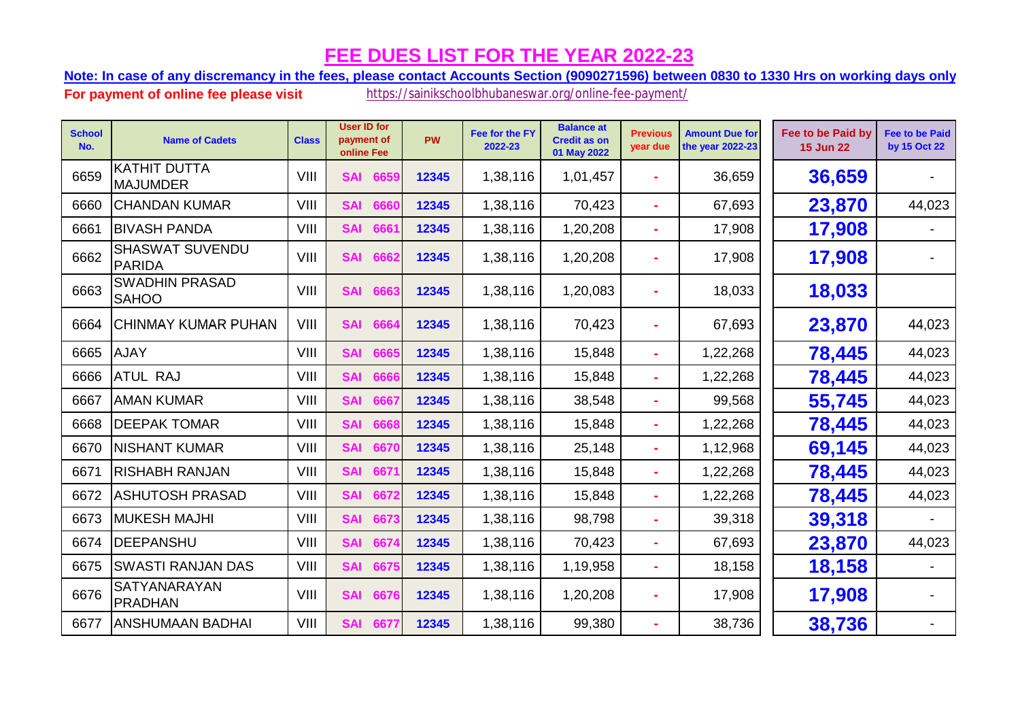**Note: In case of any discremancy in the fees, please contact Accounts Section (9090271596) between 0830 to 1330 Hrs on working days only.**

| <b>School</b><br>No. | <b>Name of Cadets</b>                   | <b>Class</b> | <b>User ID for</b><br>payment of<br>online Fee | PW    | Fee for the FY<br>2022-23 | <b>Balance at</b><br><b>Credit as on</b><br>01 May 2022 | <b>Previous</b><br>year due | <b>Amount Due for</b><br>the year 2022-23 | Fee to be Paid by<br><b>15 Jun 22</b> | <b>Fee to be Paid</b><br>by 15 Oct 22 |
|----------------------|-----------------------------------------|--------------|------------------------------------------------|-------|---------------------------|---------------------------------------------------------|-----------------------------|-------------------------------------------|---------------------------------------|---------------------------------------|
| 6659                 | KATHIT DUTTA<br>MAJUMDER                | VIII         | <b>SAI</b><br>6659                             | 12345 | 1,38,116                  | 1,01,457                                                | ÷.                          | 36,659                                    | 36,659                                |                                       |
| 6660                 | <b>CHANDAN KUMAR</b>                    | VIII         | <b>SAI</b><br>6660                             | 12345 | 1,38,116                  | 70,423                                                  | ÷                           | 67,693                                    | 23,870                                | 44,023                                |
| 6661                 | <b>BIVASH PANDA</b>                     | VIII         | <b>SAI</b><br>6661                             | 12345 | 1,38,116                  | 1,20,208                                                | $\sim$                      | 17,908                                    | 17,908                                |                                       |
| 6662                 | <b>SHASWAT SUVENDU</b><br><b>PARIDA</b> | VIII         | <b>SAI</b><br>6662                             | 12345 | 1,38,116                  | 1,20,208                                                |                             | 17,908                                    | 17,908                                |                                       |
| 6663                 | <b>SWADHIN PRASAD</b><br><b>SAHOO</b>   | VIII         | <b>SAI</b><br>6663                             | 12345 | 1,38,116                  | 1,20,083                                                |                             | 18,033                                    | 18,033                                |                                       |
| 6664                 | CHINMAY KUMAR PUHAN                     | VIII         | <b>SAI</b><br>6664                             | 12345 | 1,38,116                  | 70,423                                                  |                             | 67,693                                    | 23,870                                | 44,023                                |
| 6665                 | <b>AJAY</b>                             | VIII         | <b>SAI</b><br>6665                             | 12345 | 1,38,116                  | 15,848                                                  | ×.                          | 1,22,268                                  | 78,445                                | 44,023                                |
| 6666                 | <b>ATUL RAJ</b>                         | VIII         | <b>SAI</b><br>6666                             | 12345 | 1,38,116                  | 15,848                                                  | ÷                           | 1,22,268                                  | 78,445                                | 44,023                                |
| 6667                 | <b>AMAN KUMAR</b>                       | VIII         | <b>SAI</b><br>6667                             | 12345 | 1,38,116                  | 38,548                                                  | $\sim$                      | 99,568                                    | 55,745                                | 44,023                                |
| 6668                 | <b>DEEPAK TOMAR</b>                     | VIII         | <b>SAI</b><br>6668                             | 12345 | 1,38,116                  | 15,848                                                  |                             | 1,22,268                                  | 78,445                                | 44,023                                |
| 6670                 | <b>NISHANT KUMAR</b>                    | VIII         | <b>SAI</b><br>6670                             | 12345 | 1,38,116                  | 25,148                                                  | ÷                           | 1,12,968                                  | 69,145                                | 44,023                                |
| 6671                 | <b>RISHABH RANJAN</b>                   | VIII         | 667<br><b>SAI</b>                              | 12345 | 1,38,116                  | 15,848                                                  |                             | 1,22,268                                  | 78,445                                | 44,023                                |
| 6672                 | <b>ASHUTOSH PRASAD</b>                  | VIII         | <b>SAI</b><br>6672                             | 12345 | 1,38,116                  | 15,848                                                  | ÷.                          | 1,22,268                                  | 78,445                                | 44,023                                |
| 6673                 | <b>MUKESH MAJHI</b>                     | VIII         | <b>SAI</b><br>6673                             | 12345 | 1,38,116                  | 98,798                                                  | $\sim$                      | 39,318                                    | 39,318                                |                                       |
| 6674                 | <b>DEEPANSHU</b>                        | VIII         | <b>SAI</b><br>6674                             | 12345 | 1,38,116                  | 70,423                                                  |                             | 67,693                                    | 23,870                                | 44,023                                |
| 6675                 | <b>SWASTI RANJAN DAS</b>                | VIII         | <b>SAI</b><br>6675                             | 12345 | 1,38,116                  | 1,19,958                                                | $\sim$                      | 18,158                                    | 18,158                                |                                       |
| 6676                 | SATYANARAYAN<br>PRADHAN                 | VIII         | <b>SAI</b><br>6676                             | 12345 | 1,38,116                  | 1,20,208                                                |                             | 17,908                                    | 17,908                                |                                       |
| 6677                 | <b>ANSHUMAAN BADHAI</b>                 | VIII         | <b>SAI</b><br>6677                             | 12345 | 1,38,116                  | 99,380                                                  |                             | 38,736                                    | 38,736                                |                                       |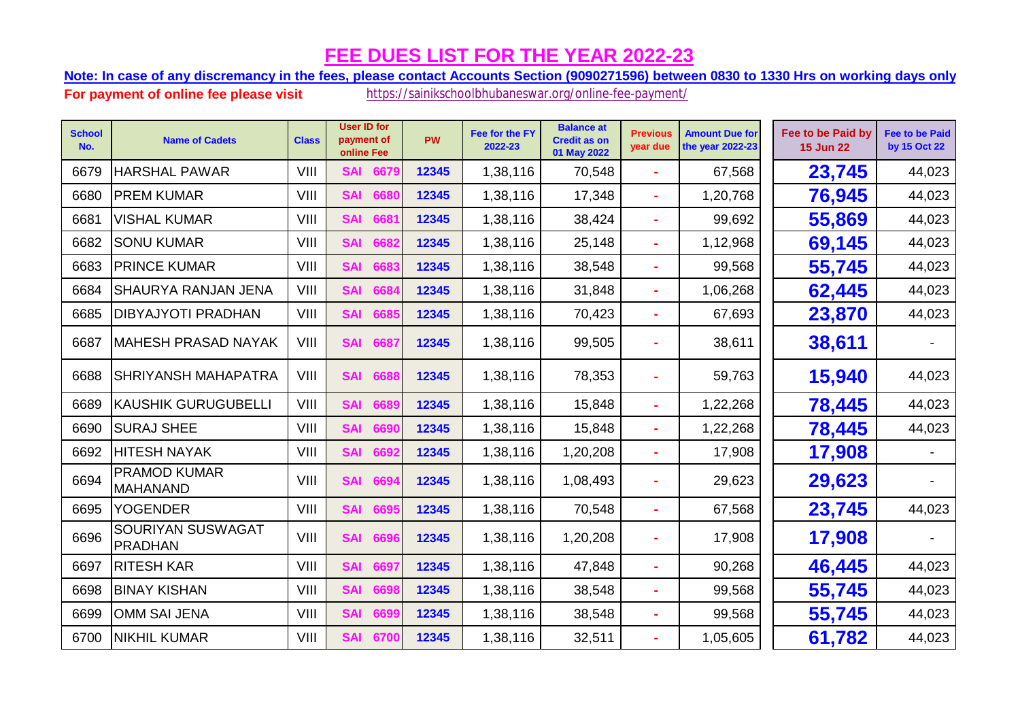**Note: In case of any discremancy in the fees, please contact Accounts Section (9090271596) between 0830 to 1330 Hrs on working days only.**

| <b>School</b><br>No. | <b>Name of Cadets</b>                  | <b>Class</b> | <b>User ID for</b><br>payment of<br>online Fee | <b>PW</b> | Fee for the FY<br>2022-23 | <b>Balance at</b><br><b>Credit as on</b><br>01 May 2022 | <b>Previous</b><br>year due | <b>Amount Due for</b><br>the year 2022-23 | Fee to be Paid by<br><b>15 Jun 22</b> | <b>Fee to be Paid</b><br>by 15 Oct 22 |
|----------------------|----------------------------------------|--------------|------------------------------------------------|-----------|---------------------------|---------------------------------------------------------|-----------------------------|-------------------------------------------|---------------------------------------|---------------------------------------|
| 6679                 | <b>HARSHAL PAWAR</b>                   | VIII         | 6679<br><b>SAI</b>                             | 12345     | 1,38,116                  | 70,548                                                  |                             | 67,568                                    | 23,745                                | 44,023                                |
| 6680                 | <b>PREM KUMAR</b>                      | VIII         | <b>SAI</b><br>6680                             | 12345     | 1,38,116                  | 17,348                                                  | $\sim$                      | 1,20,768                                  | 76,945                                | 44,023                                |
| 6681                 | <b>VISHAL KUMAR</b>                    | VIII         | <b>SAI</b><br>6681                             | 12345     | 1,38,116                  | 38,424                                                  |                             | 99,692                                    | 55,869                                | 44,023                                |
| 6682                 | <b>SONU KUMAR</b>                      | VIII         | <b>SAI</b><br>6682                             | 12345     | 1,38,116                  | 25,148                                                  |                             | 1,12,968                                  | 69,145                                | 44,023                                |
| 6683                 | <b>PRINCE KUMAR</b>                    | VIII         | <b>SAI</b><br>6683                             | 12345     | 1,38,116                  | 38,548                                                  | $\sim$                      | 99,568                                    | 55,745                                | 44,023                                |
| 6684                 | <b>SHAURYA RANJAN JENA</b>             | VIII         | <b>SAI</b><br>6684                             | 12345     | 1,38,116                  | 31,848                                                  |                             | 1,06,268                                  | 62,445                                | 44,023                                |
| 6685                 | <b>DIBYAJYOTI PRADHAN</b>              | VIII         | <b>SAI</b><br>6685                             | 12345     | 1,38,116                  | 70,423                                                  |                             | 67,693                                    | 23,870                                | 44,023                                |
| 6687                 | <b>MAHESH PRASAD NAYAK</b>             | VIII         | <b>SAI</b><br>6687                             | 12345     | 1,38,116                  | 99,505                                                  |                             | 38,611                                    | 38,611                                |                                       |
| 6688                 | <b>SHRIYANSH MAHAPATRA</b>             | VIII         | <b>SAI</b><br>6688                             | 12345     | 1,38,116                  | 78,353                                                  |                             | 59,763                                    | 15,940                                | 44,023                                |
| 6689                 | <b>KAUSHIK GURUGUBELLI</b>             | VIII         | <b>SAI</b><br>6689                             | 12345     | 1,38,116                  | 15,848                                                  |                             | 1,22,268                                  | 78,445                                | 44,023                                |
| 6690                 | <b>SURAJ SHEE</b>                      | VIII         | <b>SAI</b><br>6690                             | 12345     | 1,38,116                  | 15,848                                                  |                             | 1,22,268                                  | 78,445                                | 44,023                                |
| 6692                 | <b>HITESH NAYAK</b>                    | VIII         | <b>SAI</b><br>6692                             | 12345     | 1,38,116                  | 1,20,208                                                | ×.                          | 17,908                                    | 17,908                                |                                       |
| 6694                 | <b>PRAMOD KUMAR</b><br><b>MAHANAND</b> | VIII         | <b>SAI</b><br>6694                             | 12345     | 1,38,116                  | 1,08,493                                                |                             | 29,623                                    | 29,623                                |                                       |
| 6695                 | <b>YOGENDER</b>                        | VIII         | <b>SAI</b><br>6695                             | 12345     | 1,38,116                  | 70,548                                                  |                             | 67,568                                    | 23,745                                | 44,023                                |
| 6696                 | SOURIYAN SUSWAGAT<br>PRADHAN           | VIII         | <b>SAI</b><br>6696                             | 12345     | 1,38,116                  | 1,20,208                                                |                             | 17,908                                    | 17,908                                |                                       |
| 6697                 | <b>RITESH KAR</b>                      | VIII         | <b>SAI</b><br>6697                             | 12345     | 1,38,116                  | 47,848                                                  |                             | 90,268                                    | 46,445                                | 44,023                                |
| 6698                 | <b>BINAY KISHAN</b>                    | VIII         | <b>SAI</b><br>6698                             | 12345     | 1,38,116                  | 38,548                                                  | $\sim$                      | 99,568                                    | 55,745                                | 44,023                                |
| 6699                 | <b>OMM SAI JENA</b>                    | VIII         | <b>SAI</b><br>6699                             | 12345     | 1,38,116                  | 38,548                                                  |                             | 99,568                                    | 55,745                                | 44,023                                |
| 6700                 | <b>NIKHIL KUMAR</b>                    | VIII         | <b>SAI</b><br>6700                             | 12345     | 1,38,116                  | 32,511                                                  |                             | 1,05,605                                  | 61,782                                | 44,023                                |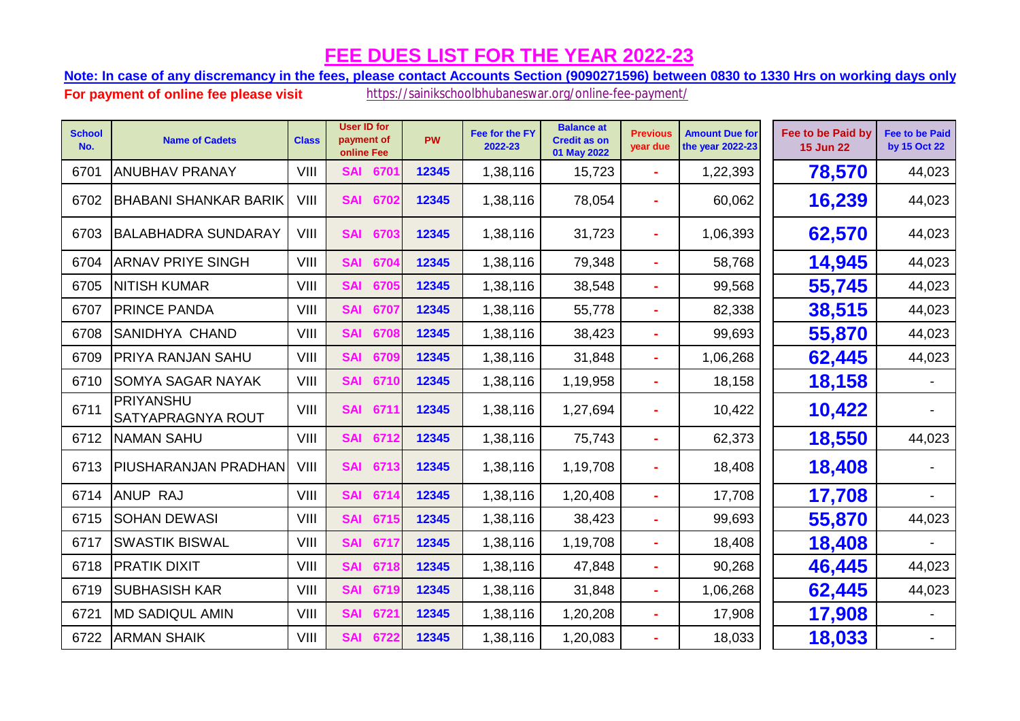**Note: In case of any discremancy in the fees, please contact Accounts Section (9090271596) between 0830 to 1330 Hrs on working days only.**

| <b>School</b><br>No. | <b>Name of Cadets</b>          | <b>Class</b> | <b>User ID for</b><br>payment of<br>online Fee | <b>PW</b> | Fee for the FY<br>2022-23 | <b>Balance at</b><br><b>Credit as on</b><br>01 May 2022 | <b>Previous</b><br>year due | <b>Amount Due for</b><br>the year 2022-23 | Fee to be Paid by<br><b>15 Jun 22</b> | <b>Fee to be Paid</b><br>by 15 Oct 22 |
|----------------------|--------------------------------|--------------|------------------------------------------------|-----------|---------------------------|---------------------------------------------------------|-----------------------------|-------------------------------------------|---------------------------------------|---------------------------------------|
| 6701                 | <b>ANUBHAV PRANAY</b>          | VIII         | <b>SAI</b><br>6701                             | 12345     | 1,38,116                  | 15,723                                                  | ÷.                          | 1,22,393                                  | 78,570                                | 44,023                                |
| 6702                 | <b>BHABANI SHANKAR BARIK</b>   | VIII         | 6702<br><b>SAI</b>                             | 12345     | 1,38,116                  | 78,054                                                  |                             | 60,062                                    | 16,239                                | 44,023                                |
| 6703                 | <b>BALABHADRA SUNDARAY</b>     | VIII         | <b>SAI</b><br>6703                             | 12345     | 1,38,116                  | 31,723                                                  |                             | 1,06,393                                  | 62,570                                | 44,023                                |
| 6704                 | <b>ARNAV PRIYE SINGH</b>       | VIII         | <b>SAI</b><br>6704                             | 12345     | 1,38,116                  | 79,348                                                  | ÷                           | 58,768                                    | 14,945                                | 44,023                                |
| 6705                 | <b>NITISH KUMAR</b>            | VIII         | <b>SAI</b><br>6705                             | 12345     | 1,38,116                  | 38,548                                                  | ÷                           | 99,568                                    | 55,745                                | 44,023                                |
| 6707                 | <b>PRINCE PANDA</b>            | VIII         | <b>SAI</b><br>6707                             | 12345     | 1,38,116                  | 55,778                                                  | $\blacksquare$              | 82,338                                    | 38,515                                | 44,023                                |
| 6708                 | <b>SANIDHYA CHAND</b>          | VIII         | <b>SAI</b><br>6708                             | 12345     | 1,38,116                  | 38,423                                                  |                             | 99,693                                    | 55,870                                | 44,023                                |
| 6709                 | <b>PRIYA RANJAN SAHU</b>       | VIII         | <b>SAI</b><br>6709                             | 12345     | 1,38,116                  | 31,848                                                  |                             | 1,06,268                                  | 62,445                                | 44,023                                |
| 6710                 | <b>SOMYA SAGAR NAYAK</b>       | VIII         | <b>SAI</b><br>6710                             | 12345     | 1,38,116                  | 1,19,958                                                | ٠                           | 18,158                                    | 18,158                                |                                       |
| 6711                 | PRIYANSHU<br>SATYAPRAGNYA ROUT | VIII         | <b>SAI</b><br>6711                             | 12345     | 1,38,116                  | 1,27,694                                                |                             | 10,422                                    | 10,422                                |                                       |
| 6712                 | <b>NAMAN SAHU</b>              | VIII         | <b>SAI</b><br>6712                             | 12345     | 1,38,116                  | 75,743                                                  |                             | 62,373                                    | 18,550                                | 44,023                                |
| 6713                 | <b>PIUSHARANJAN PRADHAN</b>    | VIII         | <b>SAI</b><br>6713                             | 12345     | 1,38,116                  | 1,19,708                                                |                             | 18,408                                    | 18,408                                |                                       |
| 6714                 | <b>ANUP RAJ</b>                | VIII         | <b>SAI</b><br>6714                             | 12345     | 1,38,116                  | 1,20,408                                                |                             | 17,708                                    | 17,708                                |                                       |
| 6715                 | <b>SOHAN DEWASI</b>            | VIII         | <b>SAI</b><br>6715                             | 12345     | 1,38,116                  | 38,423                                                  |                             | 99,693                                    | 55,870                                | 44,023                                |
| 6717                 | <b>SWASTIK BISWAL</b>          | VIII         | <b>SAI</b><br>671                              | 12345     | 1,38,116                  | 1,19,708                                                | ÷                           | 18,408                                    | 18,408                                |                                       |
| 6718                 | <b>PRATIK DIXIT</b>            | VIII         | 6718<br><b>SAI</b>                             | 12345     | 1,38,116                  | 47,848                                                  | ÷                           | 90,268                                    | 46,445                                | 44,023                                |
| 6719                 | <b>SUBHASISH KAR</b>           | VIII         | <b>SAI</b><br>6719                             | 12345     | 1,38,116                  | 31,848                                                  | ÷.                          | 1,06,268                                  | 62,445                                | 44,023                                |
| 6721                 | <b>MD SADIQUL AMIN</b>         | VIII         | <b>SAI</b><br>672'                             | 12345     | 1,38,116                  | 1,20,208                                                | ÷.                          | 17,908                                    | 17,908                                |                                       |
| 6722                 | <b>ARMAN SHAIK</b>             | VIII         | <b>SAI</b><br>6722                             | 12345     | 1,38,116                  | 1,20,083                                                |                             | 18,033                                    | 18,033                                |                                       |